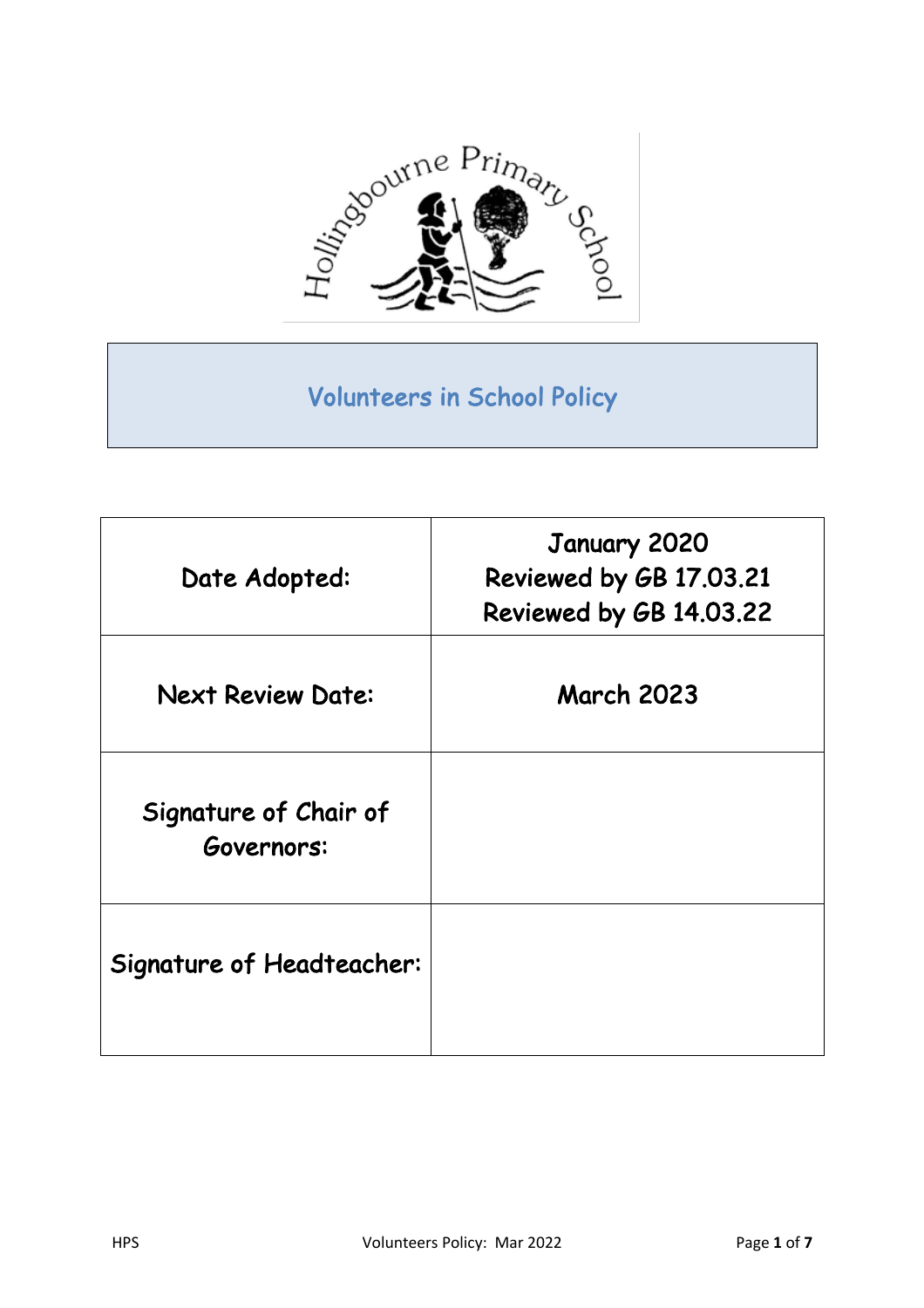

# Volunteers in School Policy

| Date Adopted:                       | January 2020<br>Reviewed by GB 17.03.21<br>Reviewed by GB 14.03.22 |
|-------------------------------------|--------------------------------------------------------------------|
| <b>Next Review Date:</b>            | <b>March 2023</b>                                                  |
| Signature of Chair of<br>Governors: |                                                                    |
| Signature of Headteacher:           |                                                                    |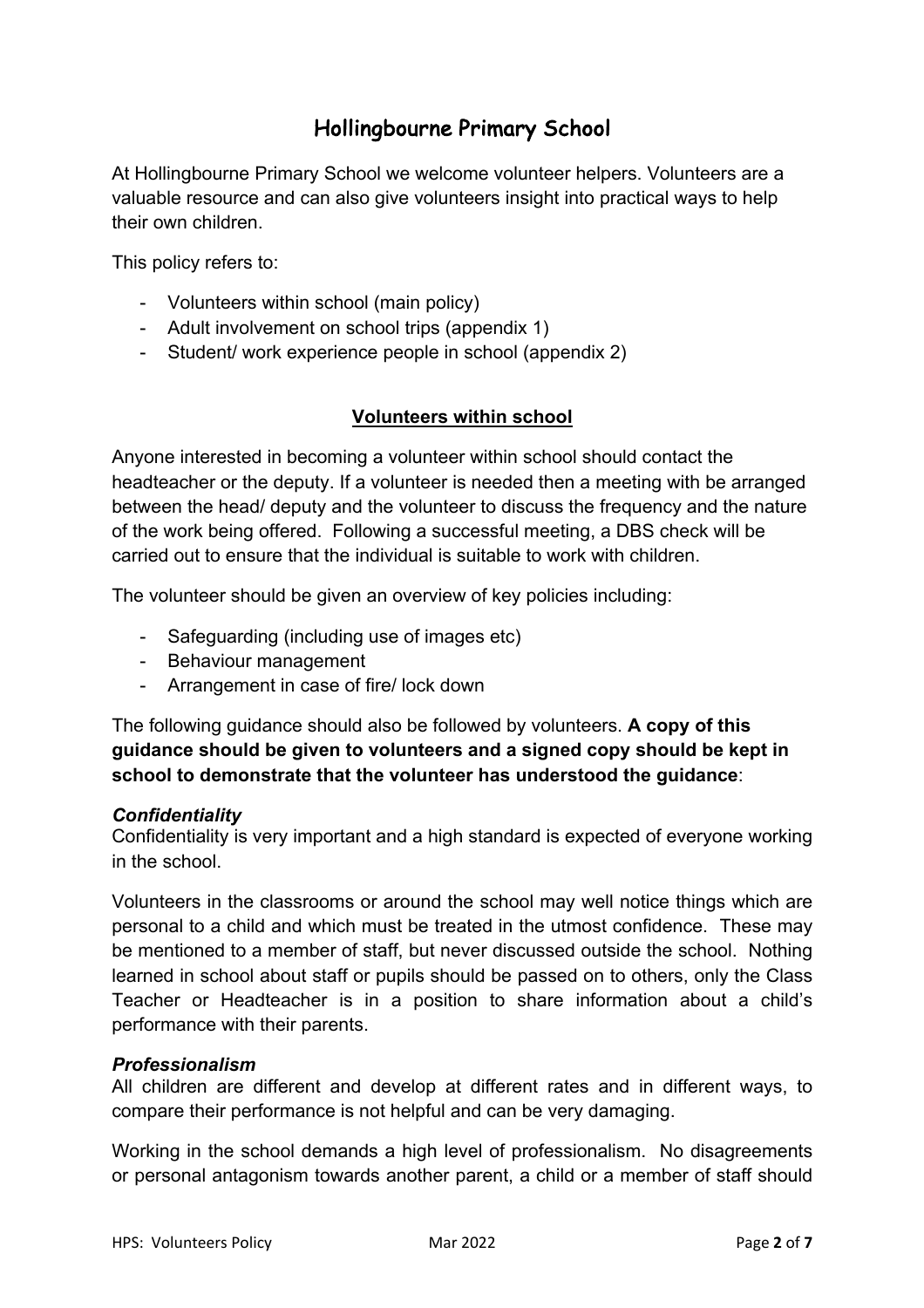# Hollingbourne Primary School

At Hollingbourne Primary School we welcome volunteer helpers. Volunteers are a valuable resource and can also give volunteers insight into practical ways to help their own children.

This policy refers to:

- Volunteers within school (main policy)
- Adult involvement on school trips (appendix 1)
- Student/ work experience people in school (appendix 2)

## **Volunteers within school**

Anyone interested in becoming a volunteer within school should contact the headteacher or the deputy. If a volunteer is needed then a meeting with be arranged between the head/ deputy and the volunteer to discuss the frequency and the nature of the work being offered. Following a successful meeting, a DBS check will be carried out to ensure that the individual is suitable to work with children.

The volunteer should be given an overview of key policies including:

- Safeguarding (including use of images etc)
- Behaviour management
- Arrangement in case of fire/ lock down

The following guidance should also be followed by volunteers. **A copy of this guidance should be given to volunteers and a signed copy should be kept in school to demonstrate that the volunteer has understood the guidance**:

## *Confidentiality*

Confidentiality is very important and a high standard is expected of everyone working in the school.

Volunteers in the classrooms or around the school may well notice things which are personal to a child and which must be treated in the utmost confidence. These may be mentioned to a member of staff, but never discussed outside the school. Nothing learned in school about staff or pupils should be passed on to others, only the Class Teacher or Headteacher is in a position to share information about a child's performance with their parents.

## *Professionalism*

All children are different and develop at different rates and in different ways, to compare their performance is not helpful and can be very damaging.

Working in the school demands a high level of professionalism. No disagreements or personal antagonism towards another parent, a child or a member of staff should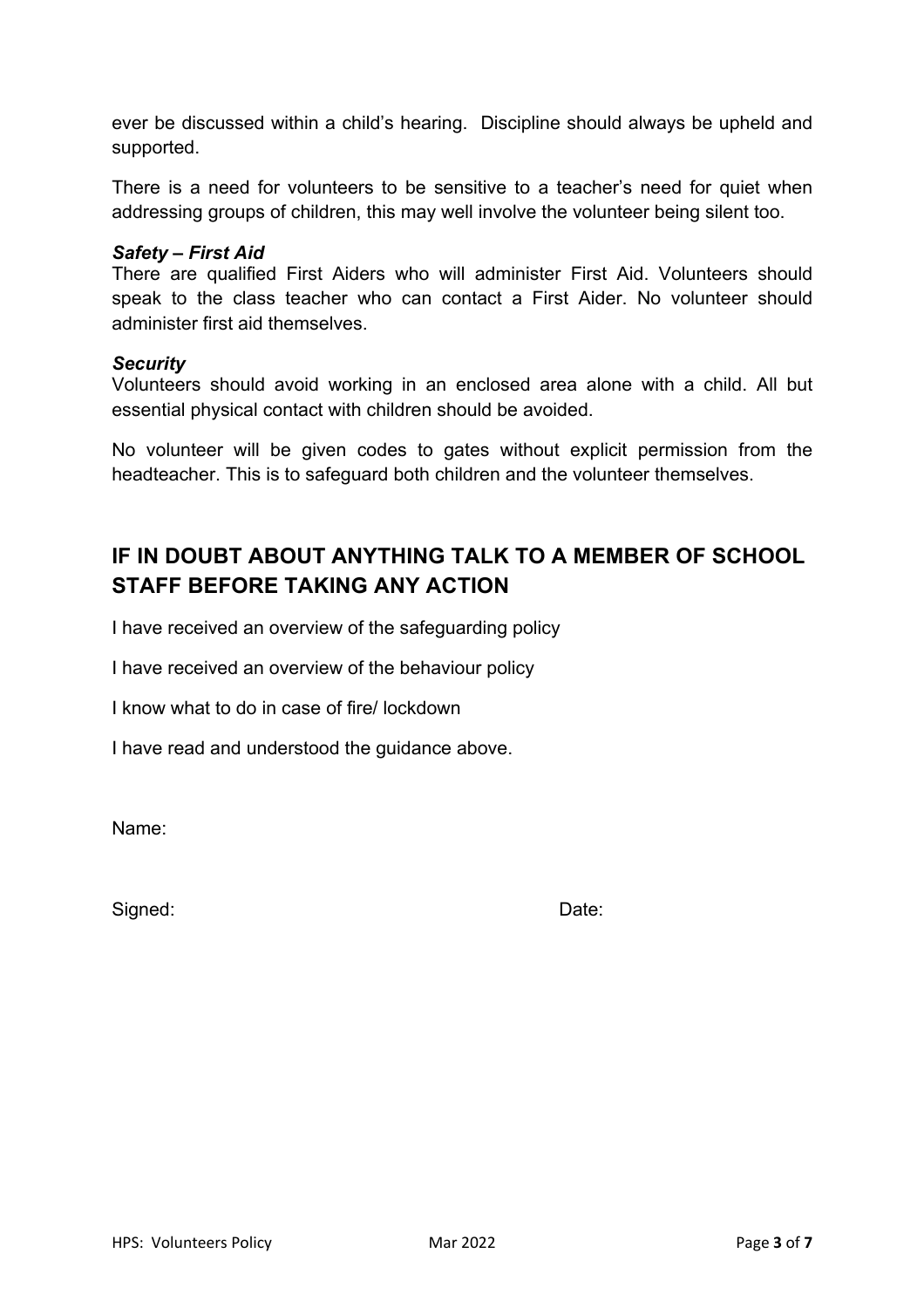ever be discussed within a child's hearing. Discipline should always be upheld and supported.

There is a need for volunteers to be sensitive to a teacher's need for quiet when addressing groups of children, this may well involve the volunteer being silent too.

#### *Safety – First Aid*

There are qualified First Aiders who will administer First Aid. Volunteers should speak to the class teacher who can contact a First Aider. No volunteer should administer first aid themselves.

#### *Security*

Volunteers should avoid working in an enclosed area alone with a child. All but essential physical contact with children should be avoided.

No volunteer will be given codes to gates without explicit permission from the headteacher. This is to safeguard both children and the volunteer themselves.

# **IF IN DOUBT ABOUT ANYTHING TALK TO A MEMBER OF SCHOOL STAFF BEFORE TAKING ANY ACTION**

I have received an overview of the safeguarding policy

I have received an overview of the behaviour policy

I know what to do in case of fire/ lockdown

I have read and understood the guidance above.

Name:

Signed: Date: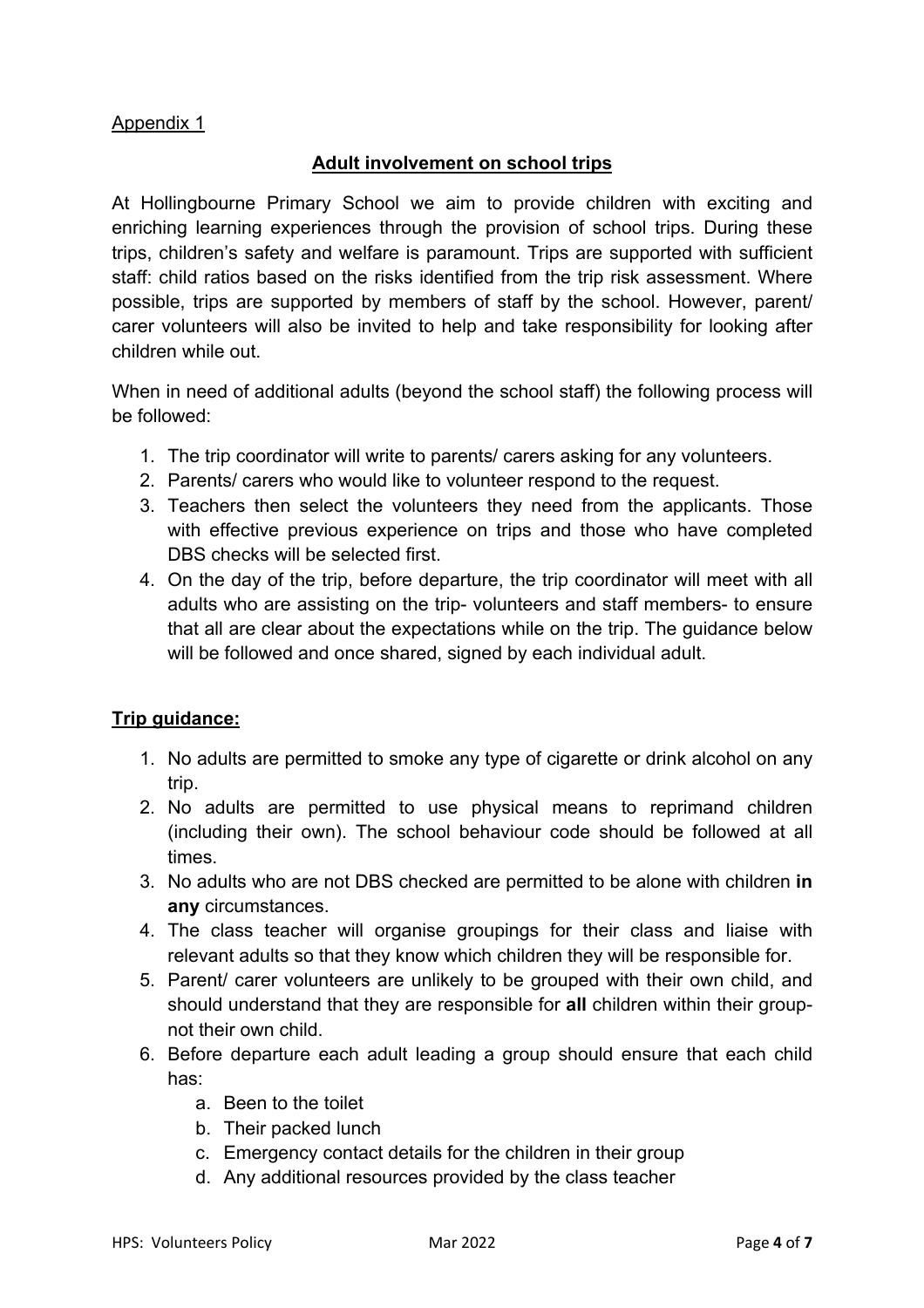# Appendix 1

# **Adult involvement on school trips**

At Hollingbourne Primary School we aim to provide children with exciting and enriching learning experiences through the provision of school trips. During these trips, children's safety and welfare is paramount. Trips are supported with sufficient staff: child ratios based on the risks identified from the trip risk assessment. Where possible, trips are supported by members of staff by the school. However, parent/ carer volunteers will also be invited to help and take responsibility for looking after children while out.

When in need of additional adults (beyond the school staff) the following process will be followed:

- 1. The trip coordinator will write to parents/ carers asking for any volunteers.
- 2. Parents/ carers who would like to volunteer respond to the request.
- 3. Teachers then select the volunteers they need from the applicants. Those with effective previous experience on trips and those who have completed DBS checks will be selected first.
- 4. On the day of the trip, before departure, the trip coordinator will meet with all adults who are assisting on the trip- volunteers and staff members- to ensure that all are clear about the expectations while on the trip. The guidance below will be followed and once shared, signed by each individual adult.

# **Trip guidance:**

- 1. No adults are permitted to smoke any type of cigarette or drink alcohol on any trip.
- 2. No adults are permitted to use physical means to reprimand children (including their own). The school behaviour code should be followed at all times.
- 3. No adults who are not DBS checked are permitted to be alone with children **in any** circumstances.
- 4. The class teacher will organise groupings for their class and liaise with relevant adults so that they know which children they will be responsible for.
- 5. Parent/ carer volunteers are unlikely to be grouped with their own child, and should understand that they are responsible for **all** children within their groupnot their own child.
- 6. Before departure each adult leading a group should ensure that each child has:
	- a. Been to the toilet
	- b. Their packed lunch
	- c. Emergency contact details for the children in their group
	- d. Any additional resources provided by the class teacher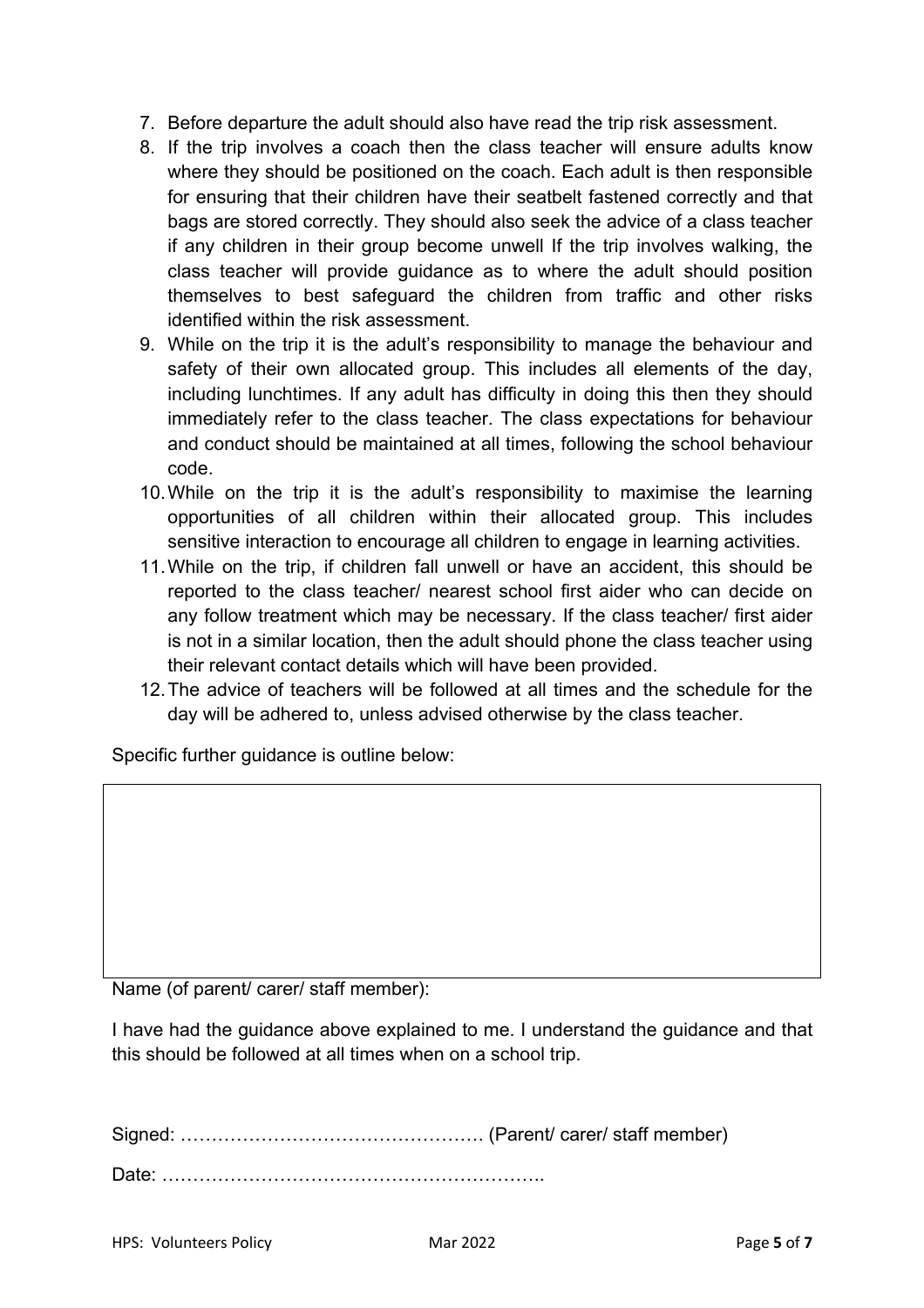- 7. Before departure the adult should also have read the trip risk assessment.
- 8. If the trip involves a coach then the class teacher will ensure adults know where they should be positioned on the coach. Each adult is then responsible for ensuring that their children have their seatbelt fastened correctly and that bags are stored correctly. They should also seek the advice of a class teacher if any children in their group become unwell If the trip involves walking, the class teacher will provide guidance as to where the adult should position themselves to best safeguard the children from traffic and other risks identified within the risk assessment.
- 9. While on the trip it is the adult's responsibility to manage the behaviour and safety of their own allocated group. This includes all elements of the day, including lunchtimes. If any adult has difficulty in doing this then they should immediately refer to the class teacher. The class expectations for behaviour and conduct should be maintained at all times, following the school behaviour code.
- 10.While on the trip it is the adult's responsibility to maximise the learning opportunities of all children within their allocated group. This includes sensitive interaction to encourage all children to engage in learning activities.
- 11.While on the trip, if children fall unwell or have an accident, this should be reported to the class teacher/ nearest school first aider who can decide on any follow treatment which may be necessary. If the class teacher/ first aider is not in a similar location, then the adult should phone the class teacher using their relevant contact details which will have been provided.
- 12.The advice of teachers will be followed at all times and the schedule for the day will be adhered to, unless advised otherwise by the class teacher.

Specific further guidance is outline below:

Name (of parent/ carer/ staff member):

I have had the guidance above explained to me. I understand the guidance and that this should be followed at all times when on a school trip.

Signed: …………………………………………. (Parent/ carer/ staff member) Date: ……………………………………………………..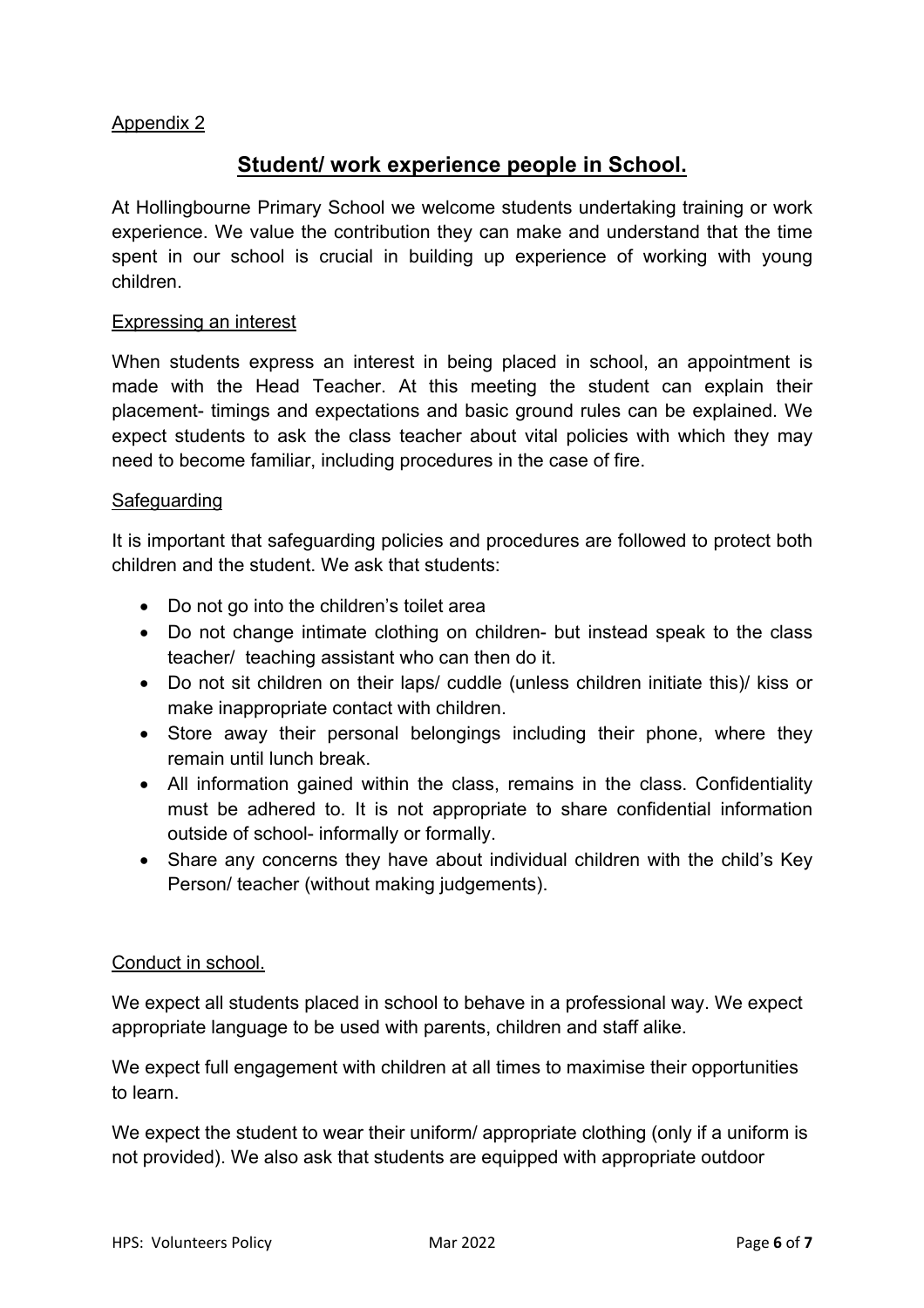## Appendix 2

# **Student/ work experience people in School.**

At Hollingbourne Primary School we welcome students undertaking training or work experience. We value the contribution they can make and understand that the time spent in our school is crucial in building up experience of working with young children.

#### Expressing an interest

When students express an interest in being placed in school, an appointment is made with the Head Teacher. At this meeting the student can explain their placement- timings and expectations and basic ground rules can be explained. We expect students to ask the class teacher about vital policies with which they may need to become familiar, including procedures in the case of fire.

#### Safeguarding

It is important that safeguarding policies and procedures are followed to protect both children and the student. We ask that students:

- Do not go into the children's toilet area
- Do not change intimate clothing on children- but instead speak to the class teacher/ teaching assistant who can then do it.
- Do not sit children on their laps/ cuddle (unless children initiate this)/ kiss or make inappropriate contact with children.
- Store away their personal belongings including their phone, where they remain until lunch break.
- All information gained within the class, remains in the class. Confidentiality must be adhered to. It is not appropriate to share confidential information outside of school- informally or formally.
- Share any concerns they have about individual children with the child's Key Person/ teacher (without making judgements).

## Conduct in school.

We expect all students placed in school to behave in a professional way. We expect appropriate language to be used with parents, children and staff alike.

We expect full engagement with children at all times to maximise their opportunities to learn.

We expect the student to wear their uniform/ appropriate clothing (only if a uniform is not provided). We also ask that students are equipped with appropriate outdoor